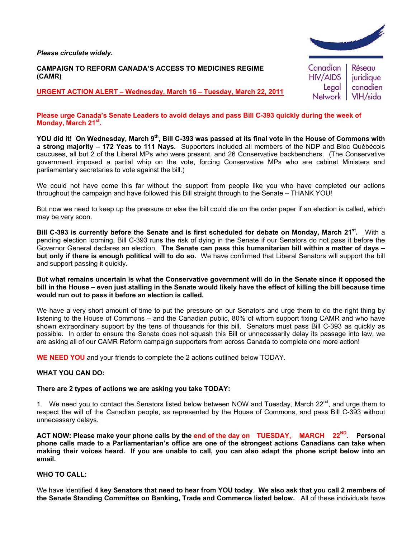*Please circulate widely.* 

#### **CAMPAIGN TO REFORM CANADA'S ACCESS TO MEDICINES REGIME (CAMR)**

**URGENT ACTION ALERT – Wednesday, March 16 – Tuesday, March 22, 2011**



### **Please urge Canada's Senate Leaders to avoid delays and pass Bill C-393 quickly during the week of Monday, March 21st.**

YOU did it! On Wednesday, March 9<sup>th</sup>, Bill C-393 was passed at its final vote in the House of Commons with **a strong majority – 172 Yeas to 111 Nays.** Supporters included all members of the NDP and Bloc Québécois caucuses, all but 2 of the Liberal MPs who were present, and 26 Conservative backbenchers. (The Conservative government imposed a partial whip on the vote, forcing Conservative MPs who are cabinet Ministers and parliamentary secretaries to vote against the bill.)

We could not have come this far without the support from people like you who have completed our actions throughout the campaign and have followed this Bill straight through to the Senate – THANK YOU!

But now we need to keep up the pressure or else the bill could die on the order paper if an election is called, which may be very soon.

**Bill C-393 is currently before the Senate and is first scheduled for debate on Monday, March 21st.** With a pending election looming, Bill C-393 runs the risk of dying in the Senate if our Senators do not pass it before the Governor General declares an election. **The Senate can pass this humanitarian bill within a matter of days – but only if there is enough political will to do so.** We have confirmed that Liberal Senators will support the bill and support passing it quickly.

**But what remains uncertain is what the Conservative government will do in the Senate since it opposed the bill in the House – even just stalling in the Senate would likely have the effect of killing the bill because time would run out to pass it before an election is called.** 

We have a very short amount of time to put the pressure on our Senators and urge them to do the right thing by listening to the House of Commons – and the Canadian public, 80% of whom support fixing CAMR and who have shown extraordinary support by the tens of thousands for this bill. Senators must pass Bill C-393 as quickly as possible. In order to ensure the Senate does not squash this Bill or unnecessarily delay its passage into law, we are asking all of our CAMR Reform campaign supporters from across Canada to complete one more action!

**WE NEED YOU** and your friends to complete the 2 actions outlined below TODAY.

## **WHAT YOU CAN DO:**

#### **There are 2 types of actions we are asking you take TODAY:**

1. We need you to contact the Senators listed below between NOW and Tuesday, March 22<sup>nd</sup>, and urge them to respect the will of the Canadian people, as represented by the House of Commons, and pass Bill C-393 without unnecessary delays.

ACT NOW: Please make your phone calls by the end of the day on TUESDAY, MARCH 22<sup>ND</sup>. Personal **phone calls made to a Parliamentarian's office are one of the strongest actions Canadians can take when making their voices heard. If you are unable to call, you can also adapt the phone script below into an email.** 

## **WHO TO CALL:**

We have identified **4 key Senators that need to hear from YOU today**. **We also ask that you call 2 members of the Senate Standing Committee on Banking, Trade and Commerce listed below.** All of these individuals have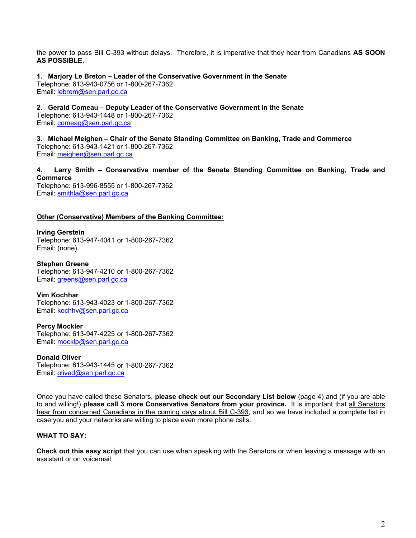the power to pass Bill C-393 without delays. Therefore, it is imperative that they hear from Canadians **AS SOON AS POSSIBLE.** 

**1. Marjory Le Breton – Leader of the Conservative Government in the Senate**  Telephone: 613-943-0756 or 1-800-267-7362 Email: lebrem@sen.parl.gc.ca

**2. Gerald Comeau – Deputy Leader of the Conservative Government in the Senate**  Telephone: 613-943-1448 or 1-800-267-7362 Email: comeag@sen.parl.gc.ca

**3. Michael Meighen – Chair of the Senate Standing Committee on Banking, Trade and Commerce**  Telephone: 613-943-1421 or 1-800-267-7362 Email: meighen@sen.parl.gc.ca

**4. Larry Smith – Conservative member of the Senate Standing Committee on Banking, Trade and Commerce** 

Telephone: 613-996-8555 or 1-800-267-7362 Email: smithla@sen.parl.gc.ca

### **Other (Conservative) Members of the Banking Committee:**

**Irving Gerstein**  Telephone: 613-947-4041 or 1-800-267-7362 Email: (none)

**Stephen Greene**  Telephone: 613-947-4210 or 1-800-267-7362 Email: greens@sen.parl.gc.ca

**Vim Kochhar**  Telephone: 613-943-4023 or 1-800-267-7362 Email: kochhv@sen.parl.gc.ca

**Percy Mockler**  Telephone: 613-947-4225 or 1-800-267-7362 Email: mocklp@sen.parl.gc.ca

**Donald Oliver**  Telephone: 613-943-1445 or 1-800-267-7362 Email: olived@sen.parl.gc.ca

Once you have called these Senators, **please check out our Secondary List below** (page 4) and (if you are able to and willing!) **please call 3 more Conservative Senators from your province.** It is important that all Senators hear from concerned Canadians in the coming days about Bill C-393, and so we have included a complete list in case you and your networks are willing to place even more phone calls.

## **WHAT TO SAY:**

**Check out this easy script** that you can use when speaking with the Senators or when leaving a message with an assistant or on voicemail: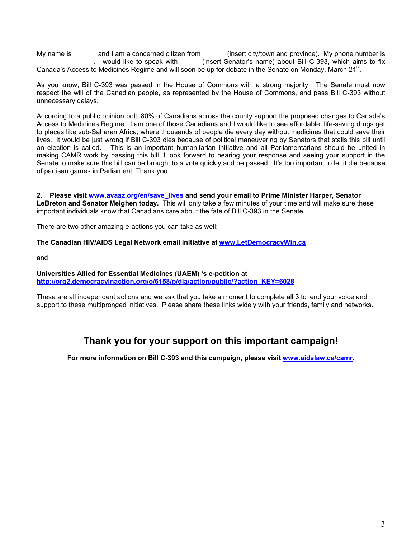My name is \_\_\_\_\_\_ and I am a concerned citizen from direct city/town and province). My phone number is \_\_\_\_\_\_\_\_\_\_\_\_\_\_\_. I would like to speak with \_\_\_\_\_ (insert Senator's name) about Bill C-393, which aims to fix Canada's Access to Medicines Regime and will soon be up for debate in the Senate on Monday, March 21<sup>st</sup>.

As you know, Bill C-393 was passed in the House of Commons with a strong majority. The Senate must now respect the will of the Canadian people, as represented by the House of Commons, and pass Bill C-393 without unnecessary delays.

According to a public opinion poll, 80% of Canadians across the county support the proposed changes to Canada's Access to Medicines Regime. I am one of those Canadians and I would like to see affordable, life-saving drugs get to places like sub-Saharan Africa, where thousands of people die every day without medicines that could save their lives. It would be just wrong if Bill C-393 dies because of political maneuvering by Senators that stalls this bill until an election is called. This is an important humanitarian initiative and all Parliamentarians should be united in making CAMR work by passing this bill. I look forward to hearing your response and seeing your support in the Senate to make sure this bill can be brought to a vote quickly and be passed. It's too important to let it die because of partisan games in Parliament. Thank you.

**2. Please visit www.avaaz.org/en/save\_lives and send your email to Prime Minister Harper, Senator LeBreton and Senator Meighen today.** This will only take a few minutes of your time and will make sure these important individuals know that Canadians care about the fate of Bill C-393 in the Senate.

There are two other amazing e-actions you can take as well:

### **The Canadian HIV/AIDS Legal Network email initiative at www.LetDemocracyWin.ca**

and

#### **Universities Allied for Essential Medicines (UAEM) 's e-petition at http://org2.democracyinaction.org/o/6158/p/dia/action/public/?action\_KEY=6028**

These are all independent actions and we ask that you take a moment to complete all 3 to lend your voice and support to these multipronged initiatives. Please share these links widely with your friends, family and networks.

# **Thank you for your support on this important campaign!**

**For more information on Bill C-393 and this campaign, please visit www.aidslaw.ca/camr.**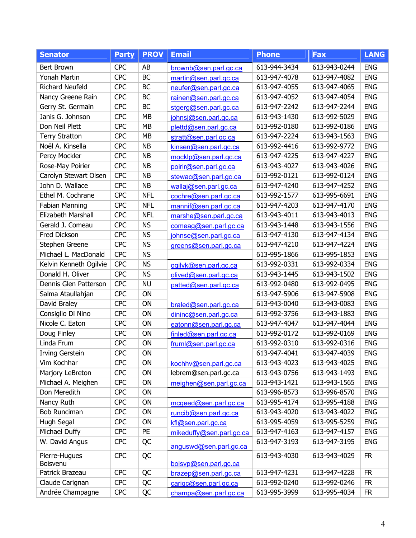| <b>Senator</b>         | <b>Party</b> | <b>PROV</b> | <b>Email</b>             | <b>Phone</b> | <b>Fax</b>   | <b>LANG</b> |
|------------------------|--------------|-------------|--------------------------|--------------|--------------|-------------|
| Bert Brown             | <b>CPC</b>   | AB          | brownb@sen.parl.gc.ca    | 613-944-3434 | 613-943-0244 | <b>ENG</b>  |
| Yonah Martin           | <b>CPC</b>   | <b>BC</b>   | martin@sen.parl.gc.ca    | 613-947-4078 | 613-947-4082 | <b>ENG</b>  |
| <b>Richard Neufeld</b> | <b>CPC</b>   | BC          | neufer@sen.parl.gc.ca    | 613-947-4055 | 613-947-4065 | <b>ENG</b>  |
| Nancy Greene Rain      | <b>CPC</b>   | BC          | rainen@sen.parl.gc.ca    | 613-947-4052 | 613-947-4054 | <b>ENG</b>  |
| Gerry St. Germain      | <b>CPC</b>   | BC          | stgerg@sen.parl.gc.ca    | 613-947-2242 | 613-947-2244 | <b>ENG</b>  |
| Janis G. Johnson       | <b>CPC</b>   | MB          | johnsj@sen.parl.gc.ca    | 613-943-1430 | 613-992-5029 | <b>ENG</b>  |
| Don Neil Plett         | <b>CPC</b>   | <b>MB</b>   | plettd@sen.parl.gc.ca    | 613-992-0180 | 613-992-0186 | <b>ENG</b>  |
| <b>Terry Stratton</b>  | <b>CPC</b>   | MB          | stratt@sen.parl.gc.ca    | 613-947-2224 | 613-943-1563 | <b>ENG</b>  |
| Noël A. Kinsella       | <b>CPC</b>   | <b>NB</b>   | kinsen@sen.parl.gc.ca    | 613-992-4416 | 613-992-9772 | <b>ENG</b>  |
| Percy Mockler          | <b>CPC</b>   | <b>NB</b>   | mocklp@sen.parl.gc.ca    | 613-947-4225 | 613-947-4227 | <b>ENG</b>  |
| Rose-May Poirier       | <b>CPC</b>   | <b>NB</b>   | poirir@sen.parl.gc.ca    | 613-943-4027 | 613-943-4026 | <b>ENG</b>  |
| Carolyn Stewart Olsen  | <b>CPC</b>   | <b>NB</b>   | stewac@sen.parl.gc.ca    | 613-992-0121 | 613-992-0124 | <b>ENG</b>  |
| John D. Wallace        | <b>CPC</b>   | <b>NB</b>   | wallaj@sen.parl.gc.ca    | 613-947-4240 | 613-947-4252 | <b>ENG</b>  |
| Ethel M. Cochrane      | <b>CPC</b>   | <b>NFL</b>  | cochre@sen.parl.gc.ca    | 613-992-1577 | 613-995-6691 | <b>ENG</b>  |
| <b>Fabian Manning</b>  | <b>CPC</b>   | <b>NFL</b>  | mannif@sen.parl.gc.ca    | 613-947-4203 | 613-947-4170 | <b>ENG</b>  |
| Elizabeth Marshall     | <b>CPC</b>   | <b>NFL</b>  | marshe@sen.parl.gc.ca    | 613-943-4011 | 613-943-4013 | <b>ENG</b>  |
| Gerald J. Comeau       | <b>CPC</b>   | <b>NS</b>   | comeag@sen.parl.gc.ca    | 613-943-1448 | 613-943-1556 | <b>ENG</b>  |
| Fred Dickson           | <b>CPC</b>   | <b>NS</b>   | johnse@sen.parl.gc.ca    | 613-947-4130 | 613-947-4134 | <b>ENG</b>  |
| Stephen Greene         | <b>CPC</b>   | <b>NS</b>   | greens@sen.parl.gc.ca    | 613-947-4210 | 613-947-4224 | <b>ENG</b>  |
| Michael L. MacDonald   | <b>CPC</b>   | <b>NS</b>   |                          | 613-995-1866 | 613-995-1853 | <b>ENG</b>  |
| Kelvin Kenneth Ogilvie | <b>CPC</b>   | <b>NS</b>   | ogilvk@sen.parl.gc.ca    | 613-992-0331 | 613-992-0334 | <b>ENG</b>  |
| Donald H. Oliver       | <b>CPC</b>   | <b>NS</b>   | olived@sen.parl.gc.ca    | 613-943-1445 | 613-943-1502 | <b>ENG</b>  |
| Dennis Glen Patterson  | <b>CPC</b>   | <b>NU</b>   | patted@sen.parl.gc.ca    | 613-992-0480 | 613-992-0495 | <b>ENG</b>  |
| Salma Ataullahjan      | <b>CPC</b>   | ON          |                          | 613-947-5906 | 613-947-5908 | <b>ENG</b>  |
| David Braley           | <b>CPC</b>   | ON          | braled@sen.parl.gc.ca    | 613-943-0040 | 613-943-0083 | <b>ENG</b>  |
| Consiglio Di Nino      | <b>CPC</b>   | ON          | dininc@sen.parl.gc.ca    | 613-992-3756 | 613-943-1883 | <b>ENG</b>  |
| Nicole C. Eaton        | <b>CPC</b>   | ON          | eatonn@sen.parl.gc.ca    | 613-947-4047 | 613-947-4044 | <b>ENG</b>  |
| Doug Finley            | <b>CPC</b>   | ON          | finled@sen.parl.gc.ca    | 613-992-0172 | 613-992-0169 | <b>ENG</b>  |
| Linda Frum             | <b>CPC</b>   | ON          | fruml@sen.parl.gc.ca     | 613-992-0310 | 613-992-0316 | <b>ENG</b>  |
| Irving Gerstein        | <b>CPC</b>   | ON          |                          | 613-947-4041 | 613-947-4039 | <b>ENG</b>  |
| Vim Kochhar            | <b>CPC</b>   | ON          | kochhv@sen.parl.gc.ca    | 613-943-4023 | 613-943-4025 | <b>ENG</b>  |
| Marjory LeBreton       | <b>CPC</b>   | ON          | lebrem@sen.parl.gc.ca    | 613-943-0756 | 613-943-1493 | <b>ENG</b>  |
| Michael A. Meighen     | <b>CPC</b>   | ON          | meighen@sen.parl.gc.ca   | 613-943-1421 | 613-943-1565 | <b>ENG</b>  |
| Don Meredith           | <b>CPC</b>   | ON          |                          | 613-996-8573 | 613-996-8570 | <b>ENG</b>  |
| Nancy Ruth             | <b>CPC</b>   | ON          | mcgeed@sen.parl.gc.ca    | 613-995-4174 | 613-995-4188 | <b>ENG</b>  |
| <b>Bob Runciman</b>    | <b>CPC</b>   | ON          | runcib@sen.parl.gc.ca    | 613-943-4020 | 613-943-4022 | <b>ENG</b>  |
| Hugh Segal             | <b>CPC</b>   | ON          | kfl@sen.parl.gc.ca       | 613-995-4059 | 613-995-5259 | <b>ENG</b>  |
| Michael Duffy          | <b>CPC</b>   | PE          | mikeduffy@sen.parl.gc.ca | 613-947-4163 | 613-947-4157 | <b>ENG</b>  |
| W. David Angus         | <b>CPC</b>   | QC          | anguswd@sen.parl.gc.ca   | 613-947-3193 | 613-947-3195 | <b>ENG</b>  |
| Pierre-Hugues          | <b>CPC</b>   | QC          |                          | 613-943-4030 | 613-943-4029 | <b>FR</b>   |
| Boisvenu               |              |             | boisvp@sen.parl.gc.ca    |              |              |             |
| Patrick Brazeau        | <b>CPC</b>   | QC          | brazep@sen.parl.gc.ca    | 613-947-4231 | 613-947-4228 | <b>FR</b>   |
| Claude Carignan        | <b>CPC</b>   | QC          | carigc@sen.parl.gc.ca    | 613-992-0240 | 613-992-0246 | <b>FR</b>   |
| Andrée Champagne       | <b>CPC</b>   | QC          | champa@sen.parl.gc.ca    | 613-995-3999 | 613-995-4034 | <b>FR</b>   |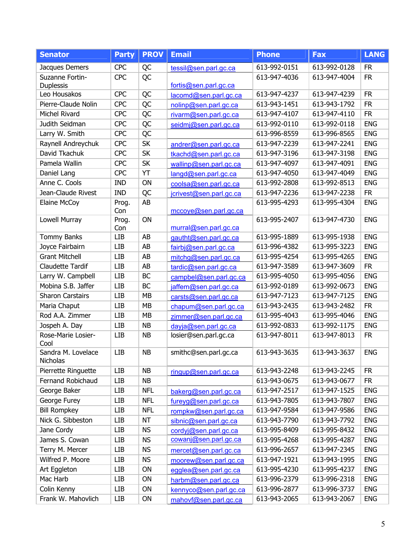| <b>Senator</b>                      | <b>Party</b> | <b>PROV</b> | <b>Email</b>            | <b>Phone</b> | <b>Fax</b>   | <b>LANG</b> |
|-------------------------------------|--------------|-------------|-------------------------|--------------|--------------|-------------|
| Jacques Demers                      | <b>CPC</b>   | QC          | tessil@sen.parl.gc.ca   | 613-992-0151 | 613-992-0128 | <b>FR</b>   |
| Suzanne Fortin-<br><b>Duplessis</b> | <b>CPC</b>   | QC          | fortis@sen.parl.gc.ca   | 613-947-4036 | 613-947-4004 | <b>FR</b>   |
| Leo Housakos                        | <b>CPC</b>   | QC          | lacomd@sen.parl.gc.ca   | 613-947-4237 | 613-947-4239 | <b>FR</b>   |
| Pierre-Claude Nolin                 | <b>CPC</b>   | <b>QC</b>   | nolinp@sen.parl.gc.ca   | 613-943-1451 | 613-943-1792 | <b>FR</b>   |
| Michel Rivard                       | <b>CPC</b>   | QC          | rivarm@sen.parl.gc.ca   | 613-947-4107 | 613-947-4110 | <b>FR</b>   |
| Judith Seidman                      | <b>CPC</b>   | QC          | seidmj@sen.parl.gc.ca   | 613-992-0110 | 613-992-0118 | <b>ENG</b>  |
| Larry W. Smith                      | <b>CPC</b>   | QC          |                         | 613-996-8559 | 613-996-8565 | <b>ENG</b>  |
| Raynell Andreychuk                  | <b>CPC</b>   | SK          | andrer@sen.parl.gc.ca   | 613-947-2239 | 613-947-2241 | <b>ENG</b>  |
| David Tkachuk                       | <b>CPC</b>   | <b>SK</b>   | tkachd@sen.parl.gc.ca   | 613-947-3196 | 613-947-3198 | <b>ENG</b>  |
| Pamela Wallin                       | <b>CPC</b>   | <b>SK</b>   | wallinp@sen.parl.gc.ca  | 613-947-4097 | 613-947-4091 | <b>ENG</b>  |
| Daniel Lang                         | <b>CPC</b>   | YT          | langd@sen.parl.gc.ca    | 613-947-4050 | 613-947-4049 | <b>ENG</b>  |
| Anne C. Cools                       | <b>IND</b>   | ON          | coolsa@sen.parl.gc.ca   | 613-992-2808 | 613-992-8513 | <b>ENG</b>  |
| Jean-Claude Rivest                  | <b>IND</b>   | QC          | jcrivest@sen.parl.gc.ca | 613-947-2236 | 613-947-2238 | <b>FR</b>   |
| Elaine McCoy                        | Prog.<br>Con | AB          | mccoye@sen.parl.gc.ca   | 613-995-4293 | 613-995-4304 | <b>ENG</b>  |
| Lowell Murray                       | Prog.<br>Con | ON          | murral@sen.parl.gc.ca   | 613-995-2407 | 613-947-4730 | <b>ENG</b>  |
| <b>Tommy Banks</b>                  | <b>LIB</b>   | AB          | gautht@sen.parl.gc.ca   | 613-995-1889 | 613-995-1938 | <b>ENG</b>  |
| Joyce Fairbairn                     | LIB          | AB          | fairbj@sen.parl.gc.ca   | 613-996-4382 | 613-995-3223 | <b>ENG</b>  |
| <b>Grant Mitchell</b>               | <b>LIB</b>   | AB          | mitchg@sen.parl.gc.ca   | 613-995-4254 | 613-995-4265 | <b>ENG</b>  |
| <b>Claudette Tardif</b>             | <b>LIB</b>   | AB          | tardic@sen.parl.gc.ca   | 613-947-3589 | 613-947-3609 | <b>FR</b>   |
| Larry W. Campbell                   | <b>LIB</b>   | BC          | campbel@sen.parl.gc.ca  | 613-995-4050 | 613-995-4056 | <b>ENG</b>  |
| Mobina S.B. Jaffer                  | <b>LIB</b>   | <b>BC</b>   | jaffem@sen.parl.gc.ca   | 613-992-0189 | 613-992-0673 | <b>ENG</b>  |
| <b>Sharon Carstairs</b>             | <b>LIB</b>   | MB          | carsts@sen.parl.gc.ca   | 613-947-7123 | 613-947-7125 | <b>ENG</b>  |
| Maria Chaput                        | LIB          | MB          | chapum@sen.parl.gc.ca   | 613-943-2435 | 613-943-2482 | <b>FR</b>   |
| Rod A.A. Zimmer                     | LIB          | <b>MB</b>   | zimmer@sen.parl.gc.ca   | 613-995-4043 | 613-995-4046 | <b>ENG</b>  |
| Jospeh A. Day                       | <b>LIB</b>   | <b>NB</b>   | dayja@sen.parl.gc.ca    | 613-992-0833 | 613-992-1175 | <b>ENG</b>  |
| Rose-Marie Losier-<br>Cool          | LIB          | <b>NB</b>   | losier@sen.parl.gc.ca   | 613-947-8011 | 613-947-8013 | <b>FR</b>   |
| Sandra M. Lovelace<br>Nicholas      | <b>LIB</b>   | <b>NB</b>   | smithc@sen.parl.gc.ca   | 613-943-3635 | 613-943-3637 | <b>ENG</b>  |
| Pierrette Ringuette                 | <b>LIB</b>   | <b>NB</b>   | ringup@sen.parl.gc.ca   | 613-943-2248 | 613-943-2245 | <b>FR</b>   |
| Fernand Robichaud                   | <b>LIB</b>   | <b>NB</b>   |                         | 613-943-0675 | 613-943-0677 | <b>FR</b>   |
| George Baker                        | LIB          | <b>NFL</b>  | bakerg@sen.parl.gc.ca   | 613-947-2517 | 613-947-1525 | <b>ENG</b>  |
| George Furey                        | LIB          | <b>NFL</b>  | fureyg@sen.parl.gc.ca   | 613-943-7805 | 613-943-7807 | <b>ENG</b>  |
| <b>Bill Rompkey</b>                 | <b>LIB</b>   | <b>NFL</b>  | rompkw@sen.parl.gc.ca   | 613-947-9584 | 613-947-9586 | <b>ENG</b>  |
| Nick G. Sibbeston                   | <b>LIB</b>   | <b>NT</b>   | sibnic@sen.parl.gc.ca   | 613-943-7790 | 613-943-7792 | <b>ENG</b>  |
| Jane Cordy                          | LIB          | <b>NS</b>   | cordyj@sen.parl.gc.ca   | 613-995-8409 | 613-995-8432 | <b>ENG</b>  |
| James S. Cowan                      | <b>LIB</b>   | <b>NS</b>   | cowanj@sen.parl.gc.ca   | 613-995-4268 | 613-995-4287 | <b>ENG</b>  |
| Terry M. Mercer                     | <b>LIB</b>   | <b>NS</b>   | mercet@sen.parl.gc.ca   | 613-996-2657 | 613-947-2345 | <b>ENG</b>  |
| Wilfred P. Moore                    | LIB          | <b>NS</b>   | moorew@sen.parl.gc.ca   | 613-947-1921 | 613-943-1995 | <b>ENG</b>  |
| Art Eggleton                        | <b>LIB</b>   | ON          | egglea@sen.parl.gc.ca   | 613-995-4230 | 613-995-4237 | <b>ENG</b>  |
| Mac Harb                            | <b>LIB</b>   | ON          | harbm@sen.parl.gc.ca    | 613-996-2379 | 613-996-2318 | <b>ENG</b>  |
| Colin Kenny                         | <b>LIB</b>   | ON          | kennyco@sen.parl.gc.ca  | 613-996-2877 | 613-996-3737 | <b>ENG</b>  |
| Frank W. Mahovlich                  | <b>LIB</b>   | ON          | mahovf@sen.parl.gc.ca   | 613-943-2065 | 613-943-2067 | <b>ENG</b>  |